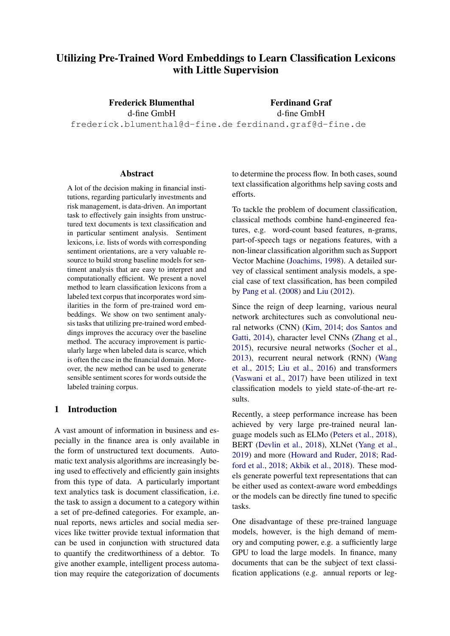# Utilizing Pre-Trained Word Embeddings to Learn Classification Lexicons with Little Supervision

Frederick Blumenthal d-fine GmbH frederick.blumenthal@d-fine.de ferdinand.graf@d-fine.de Ferdinand Graf d-fine GmbH

### Abstract

A lot of the decision making in financial institutions, regarding particularly investments and risk management, is data-driven. An important task to effectively gain insights from unstructured text documents is text classification and in particular sentiment analysis. Sentiment lexicons, i.e. lists of words with corresponding sentiment orientations, are a very valuable resource to build strong baseline models for sentiment analysis that are easy to interpret and computationally efficient. We present a novel method to learn classification lexicons from a labeled text corpus that incorporates word similarities in the form of pre-trained word embeddings. We show on two sentiment analysis tasks that utilizing pre-trained word embeddings improves the accuracy over the baseline method. The accuracy improvement is particularly large when labeled data is scarce, which is often the case in the financial domain. Moreover, the new method can be used to generate sensible sentiment scores for words outside the labeled training corpus.

# 1 Introduction

A vast amount of information in business and especially in the finance area is only available in the form of unstructured text documents. Automatic text analysis algorithms are increasingly being used to effectively and efficiently gain insights from this type of data. A particularly important text analytics task is document classification, i.e. the task to assign a document to a category within a set of pre-defined categories. For example, annual reports, news articles and social media services like twitter provide textual information that can be used in conjunction with structured data to quantify the creditworthiness of a debtor. To give another example, intelligent process automation may require the categorization of documents

to determine the process flow. In both cases, sound text classification algorithms help saving costs and efforts.

To tackle the problem of document classification, classical methods combine hand-engineered features, e.g. word-count based features, n-grams, part-of-speech tags or negations features, with a non-linear classification algorithm such as Support Vector Machine [\(Joachims,](#page-8-0) [1998\)](#page-8-0). A detailed survey of classical sentiment analysis models, a special case of text classification, has been compiled by [Pang et al.](#page-8-1) [\(2008\)](#page-8-1) and [Liu](#page-8-2) [\(2012\)](#page-8-2).

Since the reign of deep learning, various neural network architectures such as convolutional neural networks (CNN) [\(Kim,](#page-8-3) [2014;](#page-8-3) [dos Santos and](#page-9-0) [Gatti,](#page-9-0) [2014\)](#page-9-0), character level CNNs [\(Zhang et al.,](#page-9-1) [2015\)](#page-9-1), recursive neural networks [\(Socher et al.,](#page-9-2) [2013\)](#page-9-2), recurrent neural network (RNN) [\(Wang](#page-9-3) [et al.,](#page-9-3) [2015;](#page-9-3) [Liu et al.,](#page-8-4) [2016\)](#page-8-4) and transformers [\(Vaswani et al.,](#page-9-4) [2017\)](#page-9-4) have been utilized in text classification models to yield state-of-the-art results.

Recently, a steep performance increase has been achieved by very large pre-trained neural language models such as ELMo [\(Peters et al.,](#page-8-5) [2018\)](#page-8-5), BERT [\(Devlin et al.,](#page-8-6) [2018\)](#page-8-6), XLNet [\(Yang et al.,](#page-9-5) [2019\)](#page-9-5) and more [\(Howard and Ruder,](#page-8-7) [2018;](#page-8-7) [Rad](#page-9-6)[ford et al.,](#page-9-6) [2018;](#page-9-6) [Akbik et al.,](#page-8-8) [2018\)](#page-8-8). These models generate powerful text representations that can be either used as context-aware word embeddings or the models can be directly fine tuned to specific tasks.

One disadvantage of these pre-trained language models, however, is the high demand of memory and computing power, e.g. a sufficiently large GPU to load the large models. In finance, many documents that can be the subject of text classification applications (e.g. annual reports or leg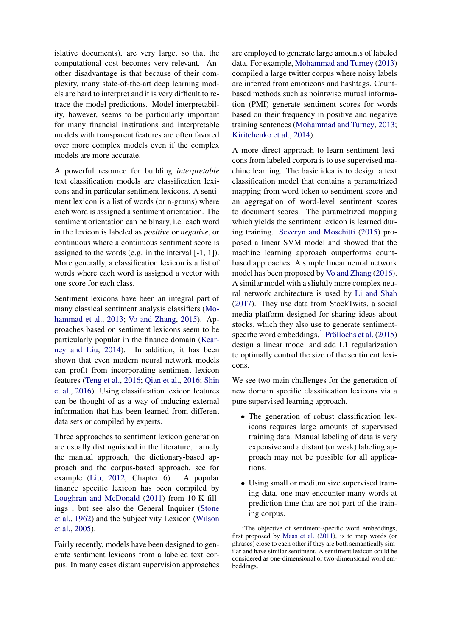islative documents), are very large, so that the computational cost becomes very relevant. Another disadvantage is that because of their complexity, many state-of-the-art deep learning models are hard to interpret and it is very difficult to retrace the model predictions. Model interpretability, however, seems to be particularly important for many financial institutions and interpretable models with transparent features are often favored over more complex models even if the complex models are more accurate.

A powerful resource for building *interpretable* text classification models are classification lexicons and in particular sentiment lexicons. A sentiment lexicon is a list of words (or n-grams) where each word is assigned a sentiment orientation. The sentiment orientation can be binary, i.e. each word in the lexicon is labeled as *positive* or *negative*, or continuous where a continuous sentiment score is assigned to the words (e.g. in the interval [-1, 1]). More generally, a classification lexicon is a list of words where each word is assigned a vector with one score for each class.

Sentiment lexicons have been an integral part of many classical sentiment analysis classifiers [\(Mo](#page-8-9)[hammad et al.,](#page-8-9) [2013;](#page-8-9) [Vo and Zhang,](#page-9-7) [2015\)](#page-9-7). Approaches based on sentiment lexicons seem to be particularly popular in the finance domain [\(Kear](#page-8-10)[ney and Liu,](#page-8-10) [2014\)](#page-8-10). In addition, it has been shown that even modern neural network models can profit from incorporating sentiment lexicon features [\(Teng et al.,](#page-9-8) [2016;](#page-9-8) [Qian et al.,](#page-8-11) [2016;](#page-8-11) [Shin](#page-9-9) [et al.,](#page-9-9) [2016\)](#page-9-9). Using classification lexicon features can be thought of as a way of inducing external information that has been learned from different data sets or compiled by experts.

Three approaches to sentiment lexicon generation are usually distinguished in the literature, namely the manual approach, the dictionary-based approach and the corpus-based approach, see for example [\(Liu,](#page-8-2) [2012,](#page-8-2) Chapter 6). A popular finance specific lexicon has been compiled by [Loughran and McDonald](#page-8-12) [\(2011\)](#page-8-12) from 10-K fillings , but see also the General Inquirer [\(Stone](#page-9-10) [et al.,](#page-9-10) [1962\)](#page-9-10) and the Subjectivity Lexicon [\(Wilson](#page-9-11) [et al.,](#page-9-11) [2005\)](#page-9-11).

Fairly recently, models have been designed to generate sentiment lexicons from a labeled text corpus. In many cases distant supervision approaches

are employed to generate large amounts of labeled data. For example, [Mohammad and Turney](#page-8-13) [\(2013\)](#page-8-13) compiled a large twitter corpus where noisy labels are inferred from emoticons and hashtags. Countbased methods such as pointwise mutual information (PMI) generate sentiment scores for words based on their frequency in positive and negative training sentences [\(Mohammad and Turney,](#page-8-13) [2013;](#page-8-13) [Kiritchenko et al.,](#page-8-14) [2014\)](#page-8-14).

A more direct approach to learn sentiment lexicons from labeled corpora is to use supervised machine learning. The basic idea is to design a text classification model that contains a parametrized mapping from word token to sentiment score and an aggregation of word-level sentiment scores to document scores. The parametrized mapping which yields the sentiment lexicon is learned during training. [Severyn and Moschitti](#page-9-12) [\(2015\)](#page-9-12) proposed a linear SVM model and showed that the machine learning approach outperforms countbased approaches. A simple linear neural network model has been proposed by [Vo and Zhang](#page-9-13) [\(2016\)](#page-9-13). A similar model with a slightly more complex neural network architecture is used by [Li and Shah](#page-8-15) [\(2017\)](#page-8-15). They use data from StockTwits, a social media platform designed for sharing ideas about stocks, which they also use to generate sentiment-specific word embeddings.<sup>[1](#page-1-0)</sup> Pröllochs et al.  $(2015)$ design a linear model and add L1 regularization to optimally control the size of the sentiment lexicons.

We see two main challenges for the generation of new domain specific classification lexicons via a pure supervised learning approach.

- The generation of robust classification lexicons requires large amounts of supervised training data. Manual labeling of data is very expensive and a distant (or weak) labeling approach may not be possible for all applications.
- Using small or medium size supervised training data, one may encounter many words at prediction time that are not part of the training corpus.

<span id="page-1-0"></span><sup>&</sup>lt;sup>1</sup>The objective of sentiment-specific word embeddings, first proposed by [Maas et al.](#page-8-17) [\(2011\)](#page-8-17), is to map words (or phrases) close to each other if they are both semantically similar and have similar sentiment. A sentiment lexicon could be considered as one-dimensional or two-dimensional word embeddings.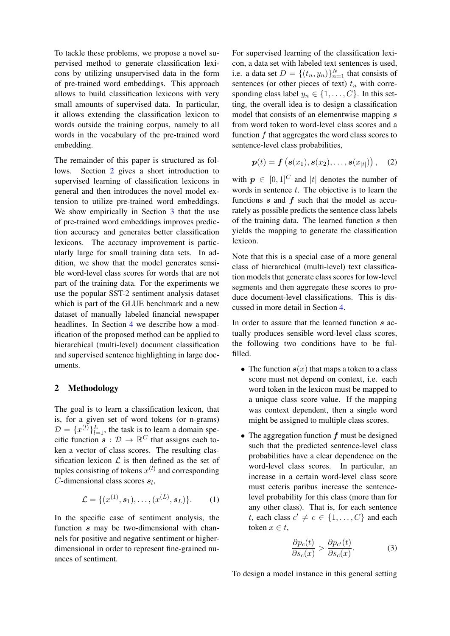To tackle these problems, we propose a novel supervised method to generate classification lexicons by utilizing unsupervised data in the form of pre-trained word embeddings. This approach allows to build classification lexicons with very small amounts of supervised data. In particular, it allows extending the classification lexicon to words outside the training corpus, namely to all words in the vocabulary of the pre-trained word embedding.

The remainder of this paper is structured as follows. Section [2](#page-2-0) gives a short introduction to supervised learning of classification lexicons in general and then introduces the novel model extension to utilize pre-trained word embeddings. We show empirically in Section [3](#page-4-0) that the use of pre-trained word embeddings improves prediction accuracy and generates better classification lexicons. The accuracy improvement is particularly large for small training data sets. In addition, we show that the model generates sensible word-level class scores for words that are not part of the training data. For the experiments we use the popular SST-2 sentiment analysis dataset which is part of the GLUE benchmark and a new dataset of manually labeled financial newspaper headlines. In Section [4](#page-6-0) we describe how a modification of the proposed method can be applied to hierarchical (multi-level) document classification and supervised sentence highlighting in large documents.

# <span id="page-2-0"></span>2 Methodology

The goal is to learn a classification lexicon, that is, for a given set of word tokens (or n-grams)  $\mathcal{D} = \{x^{(l)}\}_{l=1}^L$ , the task is to learn a domain specific function  $s : \mathcal{D} \to \mathbb{R}^C$  that assigns each token a vector of class scores. The resulting classification lexicon  $\mathcal L$  is then defined as the set of tuples consisting of tokens  $x^{(l)}$  and corresponding  $C$ -dimensional class scores  $s_l$ ,

$$
\mathcal{L} = \{ (x^{(1)}, s_1), \dots, (x^{(L)}, s_L) \}.
$$
 (1)

In the specific case of sentiment analysis, the function s may be two-dimensional with channels for positive and negative sentiment or higherdimensional in order to represent fine-grained nuances of sentiment.

For supervised learning of the classification lexicon, a data set with labeled text sentences is used, i.e. a data set  $D = \{(t_n, y_n)\}_{n=1}^N$  that consists of sentences (or other pieces of text)  $t_n$  with corresponding class label  $y_n \in \{1, \ldots, C\}$ . In this setting, the overall idea is to design a classification model that consists of an elementwise mapping s from word token to word-level class scores and a function  $f$  that aggregates the word class scores to sentence-level class probabilities,

<span id="page-2-1"></span>
$$
\bm{p}(t) = \bm{f}\left(\bm{s}(x_1), \bm{s}(x_2), \ldots, \bm{s}(x_{|t|})\right), \quad (2)
$$

with  $p \in [0, 1]^C$  and |t| denotes the number of words in sentence  $t$ . The objective is to learn the functions  $s$  and  $f$  such that the model as accurately as possible predicts the sentence class labels of the training data. The learned function  $s$  then yields the mapping to generate the classification lexicon.

Note that this is a special case of a more general class of hierarchical (multi-level) text classification models that generate class scores for low-level segments and then aggregate these scores to produce document-level classifications. This is discussed in more detail in Section [4.](#page-6-0)

In order to assure that the learned function s actually produces sensible word-level class scores, the following two conditions have to be fulfilled.

- The function  $s(x)$  that maps a token to a class score must not depend on context, i.e. each word token in the lexicon must be mapped to a unique class score value. If the mapping was context dependent, then a single word might be assigned to multiple class scores.
- The aggregation function  $f$  must be designed such that the predicted sentence-level class probabilities have a clear dependence on the word-level class scores. In particular, an increase in a certain word-level class score must ceteris paribus increase the sentencelevel probability for this class (more than for any other class). That is, for each sentence t, each class  $c' \neq c \in \{1, ..., C\}$  and each token  $x \in t$ .

$$
\frac{\partial p_c(t)}{\partial s_c(x)} > \frac{\partial p_{c'}(t)}{\partial s_c(x)}.\tag{3}
$$

To design a model instance in this general setting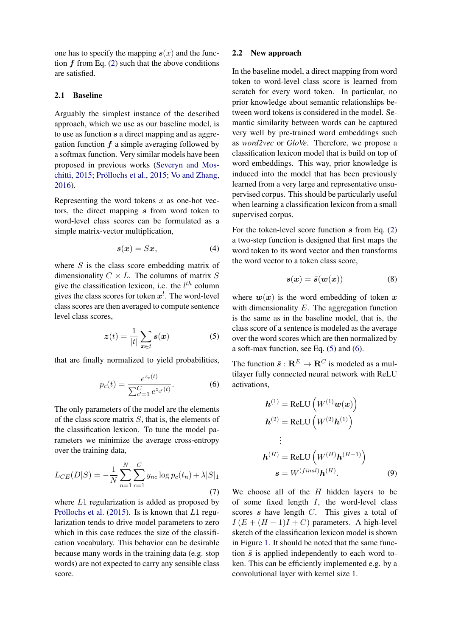one has to specify the mapping  $s(x)$  and the function  $f$  from Eq. [\(2\)](#page-2-1) such that the above conditions are satisfied.

### 2.1 Baseline

Arguably the simplest instance of the described approach, which we use as our baseline model, is to use as function s a direct mapping and as aggregation function  $f$  a simple averaging followed by a softmax function. Very similar models have been proposed in previous works [\(Severyn and Mos](#page-9-12)[chitti,](#page-9-12)  $2015$ ; Pröllochs et al.,  $2015$ ; [Vo and Zhang,](#page-9-13) [2016\)](#page-9-13).

Representing the word tokens  $x$  as one-hot vectors, the direct mapping s from word token to word-level class scores can be formulated as a simple matrix-vector multiplication,

$$
s(x) = Sx, \tag{4}
$$

where  $S$  is the class score embedding matrix of dimensionality  $C \times L$ . The columns of matrix S give the classification lexicon, i.e. the  $l^{th}$  column gives the class scores for token  $x^l$ . The word-level class scores are then averaged to compute sentence level class scores,

<span id="page-3-0"></span>
$$
z(t) = \frac{1}{|t|} \sum_{x \in t} s(x) \tag{5}
$$

<span id="page-3-1"></span>that are finally normalized to yield probabilities,

$$
p_c(t) = \frac{e^{z_c(t)}}{\sum_{c'=1}^{C} e^{z_{c'}(t)}}.
$$
 (6)

The only parameters of the model are the elements of the class score matrix  $S$ , that is, the elements of the classification lexicon. To tune the model parameters we minimize the average cross-entropy over the training data,

$$
L_{CE}(D|S) = -\frac{1}{N} \sum_{n=1}^{N} \sum_{c=1}^{C} y_{nc} \log p_c(t_n) + \lambda |S|_1
$$
\n(7)

where L1 regularization is added as proposed by Pröllochs et al.  $(2015)$ . Is is known that L1 regularization tends to drive model parameters to zero which in this case reduces the size of the classification vocabulary. This behavior can be desirable because many words in the training data (e.g. stop words) are not expected to carry any sensible class score.

### 2.2 New approach

In the baseline model, a direct mapping from word token to word-level class score is learned from scratch for every word token. In particular, no prior knowledge about semantic relationships between word tokens is considered in the model. Semantic similarity between words can be captured very well by pre-trained word embeddings such as *word2vec* or *GloVe*. Therefore, we propose a classification lexicon model that is build on top of word embeddings. This way, prior knowledge is induced into the model that has been previously learned from a very large and representative unsupervised corpus. This should be particularly useful when learning a classification lexicon from a small supervised corpus.

For the token-level score function  $s$  from Eq. [\(2\)](#page-2-1) a two-step function is designed that first maps the word token to its word vector and then transforms the word vector to a token class score,

$$
s(x) = \bar{s}(w(x))\tag{8}
$$

where  $w(x)$  is the word embedding of token x with dimensionality  $E$ . The aggregation function is the same as in the baseline model, that is, the class score of a sentence is modeled as the average over the word scores which are then normalized by a soft-max function, see Eq. [\(5\)](#page-3-0) and [\(6\)](#page-3-1).

The function  $\bar{s}: \mathbb{R}^E \to \mathbb{R}^C$  is modeled as a multilayer fully connected neural network with ReLU activations,

$$
\mathbf{h}^{(1)} = \text{ReLU}\left(W^{(1)}\mathbf{w}(\mathbf{x})\right)
$$
\n
$$
\mathbf{h}^{(2)} = \text{ReLU}\left(W^{(2)}\mathbf{h}^{(1)}\right)
$$
\n
$$
\vdots
$$
\n
$$
\mathbf{h}^{(H)} = \text{ReLU}\left(W^{(H)}\mathbf{h}^{(H-1)}\right)
$$
\n
$$
\mathbf{s} = W^{(final)}\mathbf{h}^{(H)}.
$$
\n(9)

We choose all of the  $H$  hidden layers to be of some fixed length  $I$ , the word-level class scores s have length C. This gives a total of  $I(E+(H-1)I+C)$  parameters. A high-level sketch of the classification lexicon model is shown in Figure [1.](#page-4-1) It should be noted that the same function  $\bar{s}$  is applied independently to each word token. This can be efficiently implemented e.g. by a convolutional layer with kernel size 1.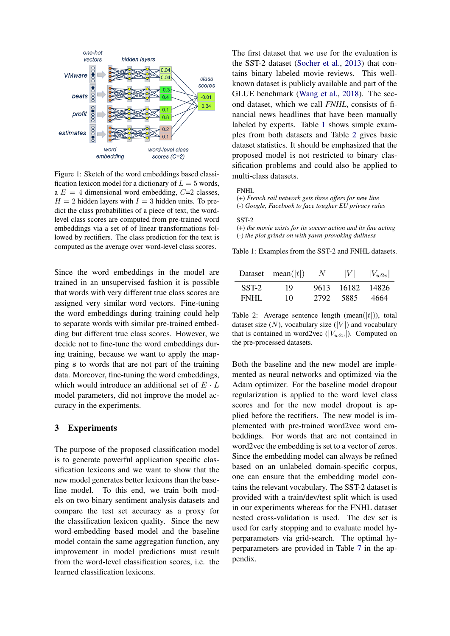<span id="page-4-1"></span>

Figure 1: Sketch of the word embeddings based classification lexicon model for a dictionary of  $L = 5$  words, a  $E = 4$  dimensional word embedding,  $C=2$  classes,  $H = 2$  hidden layers with  $I = 3$  hidden units. To predict the class probabilities of a piece of text, the wordlevel class scores are computed from pre-trained word embeddings via a set of of linear transformations followed by rectifiers. The class prediction for the text is computed as the average over word-level class scores.

Since the word embeddings in the model are trained in an unsupervised fashion it is possible that words with very different true class scores are assigned very similar word vectors. Fine-tuning the word embeddings during training could help to separate words with similar pre-trained embedding but different true class scores. However, we decide not to fine-tune the word embeddings during training, because we want to apply the mapping  $\bar{s}$  to words that are not part of the training data. Moreover, fine-tuning the word embeddings, which would introduce an additional set of  $E \cdot L$ model parameters, did not improve the model accuracy in the experiments.

### <span id="page-4-0"></span>3 Experiments

The purpose of the proposed classification model is to generate powerful application specific classification lexicons and we want to show that the new model generates better lexicons than the baseline model. To this end, we train both models on two binary sentiment analysis datasets and compare the test set accuracy as a proxy for the classification lexicon quality. Since the new word-embedding based model and the baseline model contain the same aggregation function, any improvement in model predictions must result from the word-level classification scores, i.e. the learned classification lexicons.

The first dataset that we use for the evaluation is the SST-2 dataset [\(Socher et al.,](#page-9-2) [2013\)](#page-9-2) that contains binary labeled movie reviews. This wellknown dataset is publicly available and part of the GLUE benchmark [\(Wang et al.,](#page-9-14) [2018\)](#page-9-14). The second dataset, which we call *FNHL*, consists of financial news headlines that have been manually labeled by experts. Table [1](#page-4-2) shows simple examples from both datasets and Table [2](#page-4-3) gives basic dataset statistics. It should be emphasized that the proposed model is not restricted to binary classification problems and could also be applied to multi-class datasets.

#### <span id="page-4-2"></span>FNHL

(+) *French rail network gets three offers for new line* (-) *Google, Facebook to face tougher EU privacy rules*

#### SST-2

(+) *the movie exists for its soccer action and its fine acting* (-) *the plot grinds on with yawn-provoking dullness*

Table 1: Examples from the SST-2 and FNHL datasets.

<span id="page-4-3"></span>

|       | Dataset mean( $ t $ ) | $N_{\rm c}$ | V     | $ V_{w2v} $ |
|-------|-----------------------|-------------|-------|-------------|
| SST-2 | 19                    | 9613        | 16182 | 14826       |
| FNHL  | 10                    | 2792        | 5885  | 4664        |

Table 2: Average sentence length  $(\text{mean}(|t|))$ , total dataset size  $(N)$ , vocabulary size  $(|V|)$  and vocabulary that is contained in word2vec  $(|V_{w2v}|)$ . Computed on the pre-processed datasets.

Both the baseline and the new model are implemented as neural networks and optimized via the Adam optimizer. For the baseline model dropout regularization is applied to the word level class scores and for the new model dropout is applied before the rectifiers. The new model is implemented with pre-trained word2vec word embeddings. For words that are not contained in word2vec the embedding is set to a vector of zeros. Since the embedding model can always be refined based on an unlabeled domain-specific corpus, one can ensure that the embedding model contains the relevant vocabulary. The SST-2 dataset is provided with a train/dev/test split which is used in our experiments whereas for the FNHL dataset nested cross-validation is used. The dev set is used for early stopping and to evaluate model hyperparameters via grid-search. The optimal hyperparameters are provided in Table [7](#page-10-0) in the appendix.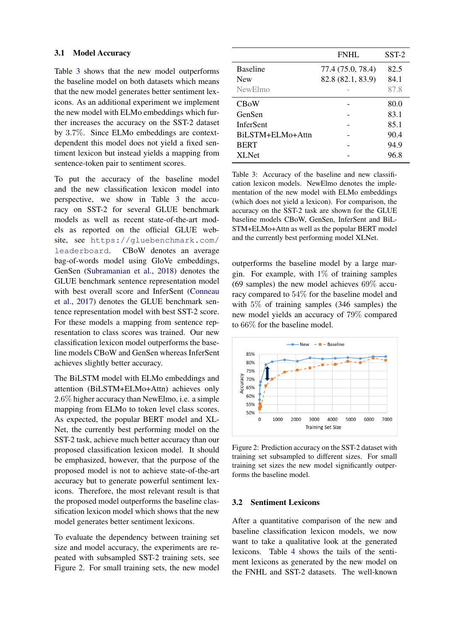### 3.1 Model Accuracy

Table [3](#page-5-0) shows that the new model outperforms the baseline model on both datasets which means that the new model generates better sentiment lexicons. As an additional experiment we implement the new model with ELMo embeddings which further increases the accuracy on the SST-2 dataset by 3.7%. Since ELMo embeddings are contextdependent this model does not yield a fixed sentiment lexicon but instead yields a mapping from sentence-token pair to sentiment scores.

To put the accuracy of the baseline model and the new classification lexicon model into perspective, we show in Table [3](#page-5-0) the accuracy on SST-2 for several GLUE benchmark models as well as recent state-of-the-art models as reported on the official GLUE website, see [https://gluebenchmark.com/](https://gluebenchmark.com/leaderboard) [leaderboard](https://gluebenchmark.com/leaderboard). CBoW denotes an average bag-of-words model using GloVe embeddings, GenSen [\(Subramanian et al.,](#page-9-15) [2018\)](#page-9-15) denotes the GLUE benchmark sentence representation model with best overall score and InferSent [\(Conneau](#page-8-18) [et al.,](#page-8-18) [2017\)](#page-8-18) denotes the GLUE benchmark sentence representation model with best SST-2 score. For these models a mapping from sentence representation to class scores was trained. Our new classification lexicon model outperforms the baseline models CBoW and GenSen whereas InferSent achieves slightly better accuracy.

The BiLSTM model with ELMo embeddings and attention (BiLSTM+ELMo+Attn) achieves only 2.6% higher accuracy than NewElmo, i.e. a simple mapping from ELMo to token level class scores. As expected, the popular BERT model and XL-Net, the currently best performing model on the SST-2 task, achieve much better accuracy than our proposed classification lexicon model. It should be emphasized, however, that the purpose of the proposed model is not to achieve state-of-the-art accuracy but to generate powerful sentiment lexicons. Therefore, the most relevant result is that the proposed model outperforms the baseline classification lexicon model which shows that the new model generates better sentiment lexicons.

To evaluate the dependency between training set size and model accuracy, the experiments are repeated with subsampled SST-2 training sets, see Figure [2.](#page-5-1) For small training sets, the new model

<span id="page-5-0"></span>

|                  | FNHL              | $SST-2$ |
|------------------|-------------------|---------|
| <b>Baseline</b>  | 77.4 (75.0, 78.4) | 82.5    |
| <b>New</b>       | 82.8 (82.1, 83.9) | 84.1    |
| NewElmo          |                   | 87.8    |
| <b>CBoW</b>      |                   | 80.0    |
| GenSen           |                   | 83.1    |
| <b>InferSent</b> |                   | 85.1    |
| BiLSTM+ELMo+Attn |                   | 90.4    |
| <b>BERT</b>      |                   | 94.9    |
| <b>XLNet</b>     |                   | 96.8    |

Table 3: Accuracy of the baseline and new classification lexicon models. NewElmo denotes the implementation of the new model with ELMo embeddings (which does not yield a lexicon). For comparison, the accuracy on the SST-2 task are shown for the GLUE baseline models CBoW, GenSen, InferSent and BiL-STM+ELMo+Attn as well as the popular BERT model and the currently best performing model XLNet.

outperforms the baseline model by a large margin. For example, with  $1\%$  of training samples (69 samples) the new model achieves 69% accuracy compared to 54% for the baseline model and with 5% of training samples (346 samples) the new model yields an accuracy of 79% compared to 66% for the baseline model.

<span id="page-5-1"></span>

Figure 2: Prediction accuracy on the SST-2 dataset with training set subsampled to different sizes. For small training set sizes the new model significantly outperforms the baseline model.

### 3.2 Sentiment Lexicons

After a quantitative comparison of the new and baseline classification lexicon models, we now want to take a qualitative look at the generated lexicons. Table [4](#page-6-1) shows the tails of the sentiment lexicons as generated by the new model on the FNHL and SST-2 datasets. The well-known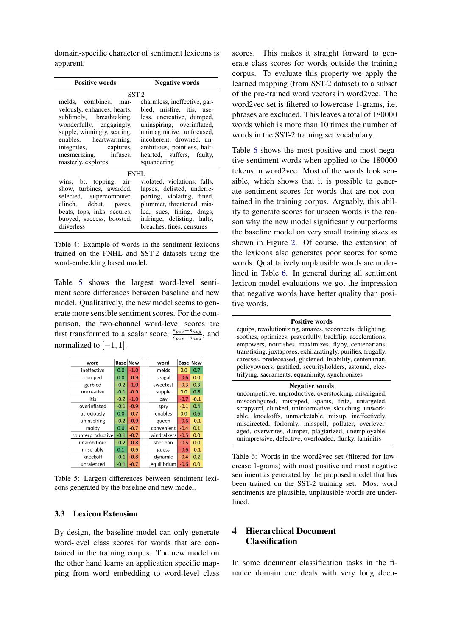domain-specific character of sentiment lexicons is apparent.

<span id="page-6-1"></span>

| <b>Positive words</b>                                                                                                                                                                                                                         | <b>Negative words</b>                                                                                                                                                                                                                                    |  |  |  |
|-----------------------------------------------------------------------------------------------------------------------------------------------------------------------------------------------------------------------------------------------|----------------------------------------------------------------------------------------------------------------------------------------------------------------------------------------------------------------------------------------------------------|--|--|--|
| $SST-2$                                                                                                                                                                                                                                       |                                                                                                                                                                                                                                                          |  |  |  |
| melds, combines, mar-<br>velously, enhances, hearts,<br>sublimely, breathtaking,<br>wonderfully, engagingly,<br>supple, winningly, searing,<br>enables, heartwarming,<br>integrates, captures,<br>mesmerizing, infuses,<br>masterly, explores | charmless, ineffective, gar-<br>bled, misfire, itis, use-<br>less, uncreative, dumped,<br>uninspiring, overinflated,<br>unimaginative, unfocused,<br>incoherent, drowned, un-<br>ambitious, pointless, half-<br>hearted, suffers, faulty,<br>squandering |  |  |  |
|                                                                                                                                                                                                                                               | FNHL                                                                                                                                                                                                                                                     |  |  |  |
| wins, bt, topping, air-<br>show, turbines, awarded,<br>selected, supercomputer,<br>clinch, debut, paves,<br>beats, tops, inks, secures,<br>buoyed, success, boosted,<br>driverless                                                            | violated, violations, falls,<br>lapses, delisted, underre-<br>porting, violating, fined,<br>plummet, threatened, mis-<br>led, sues, fining, drags,<br>infringe, delisting, halts,<br>breaches, fines, censures                                           |  |  |  |

Table 4: Example of words in the sentiment lexicons trained on the FNHL and SST-2 datasets using the word-embedding based model.

Table [5](#page-6-2) shows the largest word-level sentiment score differences between baseline and new model. Qualitatively, the new model seems to generate more sensible sentiment scores. For the comparison, the two-channel word-level scores are first transformed to a scalar score,  $\frac{s_{pos}-s_{neg}}{s_{pos}+s_{neg}}$ , and normalized to  $[-1, 1]$ .

<span id="page-6-2"></span>

| word              | Base   | <b>New</b> |         | word        | Base   | New    |
|-------------------|--------|------------|---------|-------------|--------|--------|
| ineffective       | 0.0    | $-1.0$     |         | melds       | 0.0    | 0.7    |
| dumped            | 0.0    | $-0.9$     |         | seagal      | $-0.6$ | 0.0    |
| garbled           | $-0.2$ | $-1.0$     |         | sweetest    | $-0.3$ | 0.3    |
| uncreative        | $-0.1$ | $-0.9$     |         | supple      | 0.0    | 0.6    |
| itis              | $-0.2$ | $-1.0$     |         | pay         | $-0.7$ | $-0.1$ |
| overinflated      | $-0.1$ | $-0.9$     |         | spry        | $-0.1$ | 0.4    |
| atrociously       | 0.0    | $-0.7$     |         | enables     | 0.0    | 0.6    |
| uninspiring       | $-0.2$ | $-0.9$     |         | queen       | $-0.6$ | $-0.1$ |
| moldy             | 0.0    | $-0.7$     |         | convenient  | $-0.4$ | 0.1    |
| counterproductive | $-0.1$ | $-0.7$     |         | windtalkers | $-0.5$ | 0.0    |
| unambitious       | $-0.2$ | $-0.8$     |         | sheridan    | $-0.5$ | 0.0    |
| miserably         | 0.1    | $-0.6$     |         | guess       | $-0.6$ | $-0.1$ |
| knockoff          | $-0.1$ | $-0.8$     | dynamic |             | $-0.4$ | 0.2    |
| untalented        | $-0.1$ | $-0.7$     |         | equilibrium | $-0.6$ | 0.0    |

Table 5: Largest differences between sentiment lexicons generated by the baseline and new model.

### 3.3 Lexicon Extension

By design, the baseline model can only generate word-level class scores for words that are contained in the training corpus. The new model on the other hand learns an application specific mapping from word embedding to word-level class scores. This makes it straight forward to generate class-scores for words outside the training corpus. To evaluate this property we apply the learned mapping (from SST-2 dataset) to a subset of the pre-trained word vectors in word2vec. The word2vec set is filtered to lowercase 1-grams, i.e. phrases are excluded. This leaves a total of 180000 words which is more than 10 times the number of words in the SST-2 training set vocabulary.

Table [6](#page-6-3) shows the most positive and most negative sentiment words when applied to the 180000 tokens in word2vec. Most of the words look sensible, which shows that it is possible to generate sentiment scores for words that are not contained in the training corpus. Arguably, this ability to generate scores for unseen words is the reason why the new model significantly outperforms the baseline model on very small training sizes as shown in Figure [2.](#page-5-1) Of course, the extension of the lexicons also generates poor scores for some words. Qualitatively unplausible words are underlined in Table [6.](#page-6-3) In general during all sentiment lexicon model evaluations we got the impression that negative words have better quality than positive words.

<span id="page-6-3"></span>

| <b>Positive words</b>                                        |
|--------------------------------------------------------------|
| equips, revolutionizing, amazes, reconnects, delighting,     |
| soothes, optimizes, prayerfully, backflip, accelerations,    |
| empowers, nourishes, maximizes, flyby, centenarians,         |
| transfixing, juxtaposes, exhilaratingly, purifies, frugally, |
| caresses, predeceased, glistened, livability, centenarian,   |
| policyowners, gratified, securityholders, astound, elec-     |
| trifying, sacraments, equanimity, synchronizes               |
| <b>Negative words</b>                                        |
| uncompetitive, unproductive, overstocking, misaligned,       |
| misconfigured, mistyped, spams, fritz, untargeted,           |
| scrapyard, clunked, uninformative, slouching, unwork-        |
| able, knockoffs, unmarketable, mixup, ineffectively,         |
| misdirected, forlornly, misspell, polluter, overlever-       |
| aged, overwrites, dumper, plagiarized, unemployable,         |
| unimpressive, defective, overloaded, flunky, laminitis       |
|                                                              |
| able 6: Words in the word?vec set (filtered for low          |
|                                                              |

Table 6: Words in the word2vec set (filtered for lowercase 1-grams) with most positive and most negative sentiment as generated by the proposed model that has been trained on the SST-2 training set. Most word sentiments are plausible, unplausible words are underlined.

# <span id="page-6-0"></span>4 Hierarchical Document Classification

In some document classification tasks in the finance domain one deals with very long docu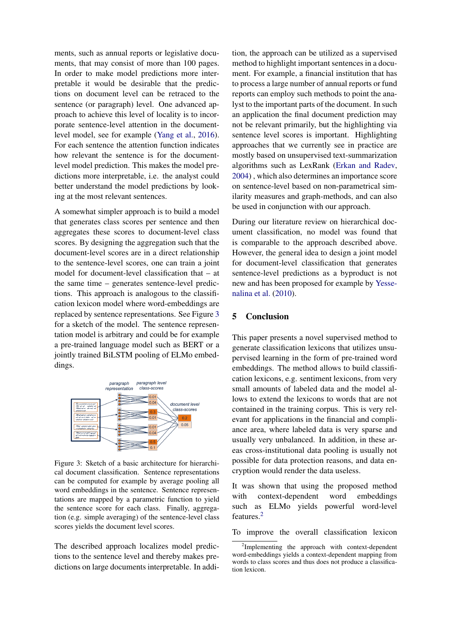ments, such as annual reports or legislative documents, that may consist of more than 100 pages. In order to make model predictions more interpretable it would be desirable that the predictions on document level can be retraced to the sentence (or paragraph) level. One advanced approach to achieve this level of locality is to incorporate sentence-level attention in the documentlevel model, see for example [\(Yang et al.,](#page-9-16) [2016\)](#page-9-16). For each sentence the attention function indicates how relevant the sentence is for the documentlevel model prediction. This makes the model predictions more interpretable, i.e. the analyst could better understand the model predictions by looking at the most relevant sentences.

A somewhat simpler approach is to build a model that generates class scores per sentence and then aggregates these scores to document-level class scores. By designing the aggregation such that the document-level scores are in a direct relationship to the sentence-level scores, one can train a joint model for document-level classification that – at the same time – generates sentence-level predictions. This approach is analogous to the classification lexicon model where word-embeddings are replaced by sentence representations. See Figure [3](#page-7-0) for a sketch of the model. The sentence representation model is arbitrary and could be for example a pre-trained language model such as BERT or a jointly trained BiLSTM pooling of ELMo embeddings.

<span id="page-7-0"></span>

Figure 3: Sketch of a basic architecture for hierarchical document classification. Sentence representations can be computed for example by average pooling all word embeddings in the sentence. Sentence representations are mapped by a parametric function to yield the sentence score for each class. Finally, aggregation (e.g. simple averaging) of the sentence-level class scores yields the document level scores.

The described approach localizes model predictions to the sentence level and thereby makes predictions on large documents interpretable. In addition, the approach can be utilized as a supervised method to highlight important sentences in a document. For example, a financial institution that has to process a large number of annual reports or fund reports can employ such methods to point the analyst to the important parts of the document. In such an application the final document prediction may not be relevant primarily, but the highlighting via sentence level scores is important. Highlighting approaches that we currently see in practice are mostly based on unsupervised text-summarization algorithms such as LexRank [\(Erkan and Radev,](#page-8-19) [2004\)](#page-8-19) , which also determines an importance score on sentence-level based on non-parametrical similarity measures and graph-methods, and can also be used in conjunction with our approach.

During our literature review on hierarchical document classification, no model was found that is comparable to the approach described above. However, the general idea to design a joint model for document-level classification that generates sentence-level predictions as a byproduct is not new and has been proposed for example by [Yesse](#page-9-17)[nalina et al.](#page-9-17) [\(2010\)](#page-9-17).

### 5 Conclusion

This paper presents a novel supervised method to generate classification lexicons that utilizes unsupervised learning in the form of pre-trained word embeddings. The method allows to build classification lexicons, e.g. sentiment lexicons, from very small amounts of labeled data and the model allows to extend the lexicons to words that are not contained in the training corpus. This is very relevant for applications in the financial and compliance area, where labeled data is very sparse and usually very unbalanced. In addition, in these areas cross-institutional data pooling is usually not possible for data protection reasons, and data encryption would render the data useless.

It was shown that using the proposed method with context-dependent word embeddings such as ELMo yields powerful word-level features.[2](#page-7-1)

To improve the overall classification lexicon

<span id="page-7-1"></span><sup>&</sup>lt;sup>2</sup>Implementing the approach with context-dependent word-embeddings yields a context-dependent mapping from words to class scores and thus does not produce a classification lexicon.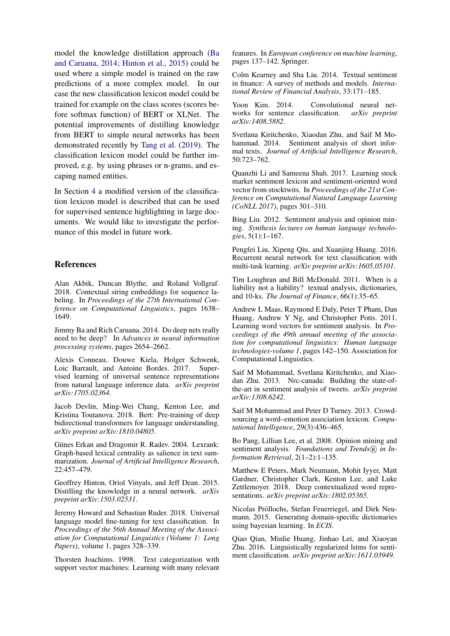model the knowledge distillation approach [\(Ba](#page-8-20) [and Caruana,](#page-8-20) [2014;](#page-8-20) [Hinton et al.,](#page-8-21) [2015\)](#page-8-21) could be used where a simple model is trained on the raw predictions of a more complex model. In our case the new classification lexicon model could be trained for example on the class scores (scores before softmax function) of BERT or XLNet. The potential improvements of distilling knowledge from BERT to simple neural networks has been demonstrated recently by [Tang et al.](#page-9-18) [\(2019\)](#page-9-18). The classification lexicon model could be further improved, e.g. by using phrases or n-grams, and escaping named entities.

In Section [4](#page-6-0) a modified version of the classification lexicon model is described that can be used for supervised sentence highlighting in large documents. We would like to investigate the performance of this model in future work.

# References

<span id="page-8-8"></span>Alan Akbik, Duncan Blythe, and Roland Vollgraf. 2018. Contextual string embeddings for sequence labeling. In *Proceedings of the 27th International Conference on Computational Linguistics*, pages 1638– 1649.

<span id="page-8-20"></span>Jimmy Ba and Rich Caruana. 2014. Do deep nets really need to be deep? In *Advances in neural information processing systems*, pages 2654–2662.

<span id="page-8-18"></span>Alexis Conneau, Douwe Kiela, Holger Schwenk, Loic Barrault, and Antoine Bordes. 2017. Supervised learning of universal sentence representations from natural language inference data. *arXiv preprint arXiv:1705.02364*.

<span id="page-8-6"></span>Jacob Devlin, Ming-Wei Chang, Kenton Lee, and Kristina Toutanova. 2018. Bert: Pre-training of deep bidirectional transformers for language understanding. *arXiv preprint arXiv:1810.04805*.

<span id="page-8-19"></span>Günes Erkan and Dragomir R. Radev. 2004. Lexrank: Graph-based lexical centrality as salience in text summarization. *Journal of Artificial Intelligence Research*, 22:457–479.

<span id="page-8-21"></span>Geoffrey Hinton, Oriol Vinyals, and Jeff Dean. 2015. Distilling the knowledge in a neural network. *arXiv preprint arXiv:1503.02531*.

<span id="page-8-7"></span>Jeremy Howard and Sebastian Ruder. 2018. Universal language model fine-tuning for text classification. In *Proceedings of the 56th Annual Meeting of the Association for Computational Linguistics (Volume 1: Long Papers)*, volume 1, pages 328–339.

<span id="page-8-0"></span>Thorsten Joachims. 1998. Text categorization with support vector machines: Learning with many relevant

features. In *European conference on machine learning*, pages 137–142. Springer.

<span id="page-8-10"></span>Colm Kearney and Sha Liu. 2014. Textual sentiment in finance: A survey of methods and models. *International Review of Financial Analysis*, 33:171–185.

<span id="page-8-3"></span>Yoon Kim. 2014. Convolutional neural networks for sentence classification. *arXiv preprint arXiv:1408.5882*.

<span id="page-8-14"></span>Svetlana Kiritchenko, Xiaodan Zhu, and Saif M Mohammad. 2014. Sentiment analysis of short informal texts. *Journal of Artificial Intelligence Research*, 50:723–762.

<span id="page-8-15"></span>Quanzhi Li and Sameena Shah. 2017. Learning stock market sentiment lexicon and sentiment-oriented word vector from stocktwits. In *Proceedings of the 21st Conference on Computational Natural Language Learning (CoNLL 2017)*, pages 301–310.

<span id="page-8-2"></span>Bing Liu. 2012. Sentiment analysis and opinion mining. *Synthesis lectures on human language technologies*, 5(1):1–167.

<span id="page-8-4"></span>Pengfei Liu, Xipeng Qiu, and Xuanjing Huang. 2016. Recurrent neural network for text classification with multi-task learning. *arXiv preprint arXiv:1605.05101*.

<span id="page-8-12"></span>Tim Loughran and Bill McDonald. 2011. When is a liability not a liability? textual analysis, dictionaries, and 10-ks. *The Journal of Finance*, 66(1):35–65.

<span id="page-8-17"></span>Andrew L Maas, Raymond E Daly, Peter T Pham, Dan Huang, Andrew Y Ng, and Christopher Potts. 2011. Learning word vectors for sentiment analysis. In *Proceedings of the 49th annual meeting of the association for computational linguistics: Human language technologies-volume 1*, pages 142–150. Association for Computational Linguistics.

<span id="page-8-9"></span>Saif M Mohammad, Svetlana Kiritchenko, and Xiaodan Zhu. 2013. Nrc-canada: Building the state-ofthe-art in sentiment analysis of tweets. *arXiv preprint arXiv:1308.6242*.

<span id="page-8-13"></span>Saif M Mohammad and Peter D Turney. 2013. Crowdsourcing a word–emotion association lexicon. *Computational Intelligence*, 29(3):436–465.

<span id="page-8-1"></span>Bo Pang, Lillian Lee, et al. 2008. Opinion mining and sentiment analysis. *Foundations and Trends*<sup>(R)</sup> in In*formation Retrieval*, 2(1–2):1–135.

<span id="page-8-5"></span>Matthew E Peters, Mark Neumann, Mohit Iyyer, Matt Gardner, Christopher Clark, Kenton Lee, and Luke Zettlemoyer. 2018. Deep contextualized word representations. *arXiv preprint arXiv:1802.05365*.

<span id="page-8-16"></span>Nicolas Pröllochs, Stefan Feuerriegel, and Dirk Neumann. 2015. Generating domain-specific dictionaries using bayesian learning. In *ECIS*.

<span id="page-8-11"></span>Qiao Qian, Minlie Huang, Jinhao Lei, and Xiaoyan Zhu. 2016. Linguistically regularized lstms for sentiment classification. *arXiv preprint arXiv:1611.03949*.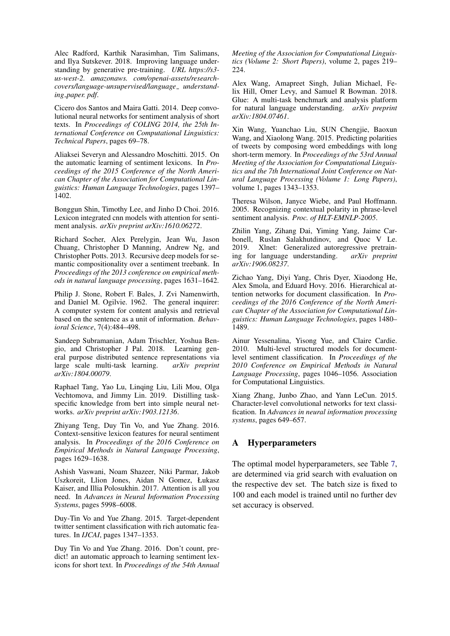<span id="page-9-6"></span>Alec Radford, Karthik Narasimhan, Tim Salimans, and Ilya Sutskever. 2018. Improving language understanding by generative pre-training. *URL https://s3 us-west-2. amazonaws. com/openai-assets/researchcovers/language-unsupervised/language understanding paper. pdf*.

<span id="page-9-0"></span>Cicero dos Santos and Maira Gatti. 2014. Deep convolutional neural networks for sentiment analysis of short texts. In *Proceedings of COLING 2014, the 25th International Conference on Computational Linguistics: Technical Papers*, pages 69–78.

<span id="page-9-12"></span>Aliaksei Severyn and Alessandro Moschitti. 2015. On the automatic learning of sentiment lexicons. In *Proceedings of the 2015 Conference of the North American Chapter of the Association for Computational Linguistics: Human Language Technologies*, pages 1397– 1402.

<span id="page-9-9"></span>Bonggun Shin, Timothy Lee, and Jinho D Choi. 2016. Lexicon integrated cnn models with attention for sentiment analysis. *arXiv preprint arXiv:1610.06272*.

<span id="page-9-2"></span>Richard Socher, Alex Perelygin, Jean Wu, Jason Chuang, Christopher D Manning, Andrew Ng, and Christopher Potts. 2013. Recursive deep models for semantic compositionality over a sentiment treebank. In *Proceedings of the 2013 conference on empirical methods in natural language processing*, pages 1631–1642.

<span id="page-9-10"></span>Philip J. Stone, Robert F. Bales, J. Zvi Namenwirth, and Daniel M. Ogilvie. 1962. The general inquirer: A computer system for content analysis and retrieval based on the sentence as a unit of information. *Behavioral Science*, 7(4):484–498.

<span id="page-9-15"></span>Sandeep Subramanian, Adam Trischler, Yoshua Bengio, and Christopher J Pal. 2018. Learning general purpose distributed sentence representations via<br>large scale multi-task learning. arXiv preprint large scale multi-task learning. *arXiv:1804.00079*.

<span id="page-9-18"></span>Raphael Tang, Yao Lu, Linqing Liu, Lili Mou, Olga Vechtomova, and Jimmy Lin. 2019. Distilling taskspecific knowledge from bert into simple neural networks. *arXiv preprint arXiv:1903.12136*.

<span id="page-9-8"></span>Zhiyang Teng, Duy Tin Vo, and Yue Zhang. 2016. Context-sensitive lexicon features for neural sentiment analysis. In *Proceedings of the 2016 Conference on Empirical Methods in Natural Language Processing*, pages 1629–1638.

<span id="page-9-4"></span>Ashish Vaswani, Noam Shazeer, Niki Parmar, Jakob Uszkoreit, Llion Jones, Aidan N Gomez, Łukasz Kaiser, and Illia Polosukhin. 2017. Attention is all you need. In *Advances in Neural Information Processing Systems*, pages 5998–6008.

<span id="page-9-7"></span>Duy-Tin Vo and Yue Zhang. 2015. Target-dependent twitter sentiment classification with rich automatic features. In *IJCAI*, pages 1347–1353.

<span id="page-9-13"></span>Duy Tin Vo and Yue Zhang. 2016. Don't count, predict! an automatic approach to learning sentiment lexicons for short text. In *Proceedings of the 54th Annual* *Meeting of the Association for Computational Linguistics (Volume 2: Short Papers)*, volume 2, pages 219– 224.

<span id="page-9-14"></span>Alex Wang, Amapreet Singh, Julian Michael, Felix Hill, Omer Levy, and Samuel R Bowman. 2018. Glue: A multi-task benchmark and analysis platform for natural language understanding. *arXiv preprint arXiv:1804.07461*.

<span id="page-9-3"></span>Xin Wang, Yuanchao Liu, SUN Chengjie, Baoxun Wang, and Xiaolong Wang. 2015. Predicting polarities of tweets by composing word embeddings with long short-term memory. In *Proceedings of the 53rd Annual Meeting of the Association for Computational Linguistics and the 7th International Joint Conference on Natural Language Processing (Volume 1: Long Papers)*, volume 1, pages 1343–1353.

<span id="page-9-11"></span>Theresa Wilson, Janyce Wiebe, and Paul Hoffmann. 2005. Recognizing contextual polarity in phrase-level sentiment analysis. *Proc. of HLT-EMNLP-2005*.

<span id="page-9-5"></span>Zhilin Yang, Zihang Dai, Yiming Yang, Jaime Carbonell, Ruslan Salakhutdinov, and Quoc V Le. 2019. Xlnet: Generalized autoregressive pretraining for language understanding. *arXiv preprint arXiv:1906.08237*.

<span id="page-9-16"></span>Zichao Yang, Diyi Yang, Chris Dyer, Xiaodong He, Alex Smola, and Eduard Hovy. 2016. Hierarchical attention networks for document classification. In *Proceedings of the 2016 Conference of the North American Chapter of the Association for Computational Linguistics: Human Language Technologies*, pages 1480– 1489.

<span id="page-9-17"></span>Ainur Yessenalina, Yisong Yue, and Claire Cardie. 2010. Multi-level structured models for documentlevel sentiment classification. In *Proceedings of the 2010 Conference on Empirical Methods in Natural Language Processing*, pages 1046–1056. Association for Computational Linguistics.

<span id="page-9-1"></span>Xiang Zhang, Junbo Zhao, and Yann LeCun. 2015. Character-level convolutional networks for text classification. In *Advances in neural information processing systems*, pages 649–657.

# A Hyperparameters

The optimal model hyperparameters, see Table [7,](#page-10-0) are determined via grid search with evaluation on the respective dev set. The batch size is fixed to 100 and each model is trained until no further dev set accuracy is observed.